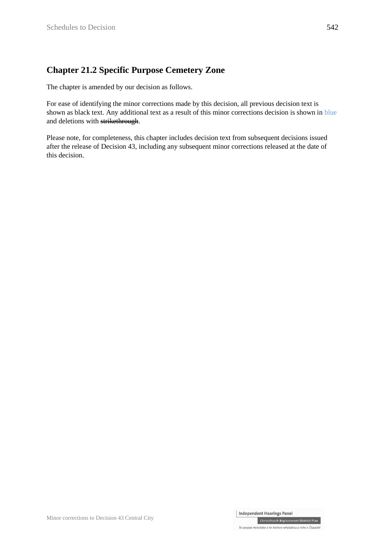## **Chapter 21.2 Specific Purpose Cemetery Zone**

The chapter is amended by our decision as follows.

For ease of identifying the minor corrections made by this decision, all previous decision text is shown as black text. Any additional text as a result of this minor corrections decision is shown in blue and deletions with strikethrough.

Please note, for completeness, this chapter includes decision text from subsequent decisions issued after the release of Decision 43, including any subsequent minor corrections released at the date of this decision.

Christchurch Replacement District Plan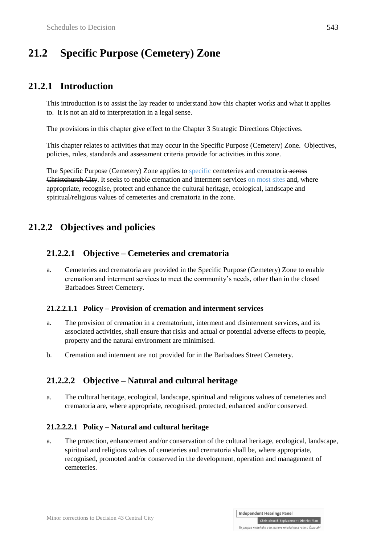# **21.2 Specific Purpose (Cemetery) Zone**

## **21.2.1 Introduction**

This introduction is to assist the lay reader to understand how this chapter works and what it applies to. It is not an aid to interpretation in a legal sense.

The provisions in this chapter give effect to the Chapter 3 Strategic Directions Objectives.

This chapter relates to activities that may occur in the Specific Purpose (Cemetery) Zone. Objectives, policies, rules, standards and assessment criteria provide for activities in this zone.

The Specific Purpose (Cemetery) Zone applies to specific cemeteries and crematoria across Christchurch City. It seeks to enable cremation and interment services on most sites and, where appropriate, recognise, protect and enhance the cultural heritage, ecological, landscape and spiritual/religious values of cemeteries and crematoria in the zone.

## **21.2.2 Objectives and policies**

### **21.2.2.1 Objective – Cemeteries and crematoria**

a. Cemeteries and crematoria are provided in the Specific Purpose (Cemetery) Zone to enable cremation and interment services to meet the community's needs, other than in the closed Barbadoes Street Cemetery.

#### **21.2.2.1.1 Policy – Provision of cremation and interment services**

- a. The provision of cremation in a crematorium, interment and disinterment services, and its associated activities, shall ensure that risks and actual or potential adverse effects to people, property and the natural environment are minimised.
- b. Cremation and interment are not provided for in the Barbadoes Street Cemetery.

### **21.2.2.2 Objective – Natural and cultural heritage**

a. The cultural heritage, ecological, landscape, spiritual and religious values of cemeteries and crematoria are, where appropriate, recognised, protected, enhanced and/or conserved.

#### **21.2.2.2.1 Policy – Natural and cultural heritage**

a. The protection, enhancement and/or conservation of the cultural heritage, ecological, landscape, spiritual and religious values of cemeteries and crematoria shall be, where appropriate, recognised, promoted and/or conserved in the development, operation and management of cemeteries.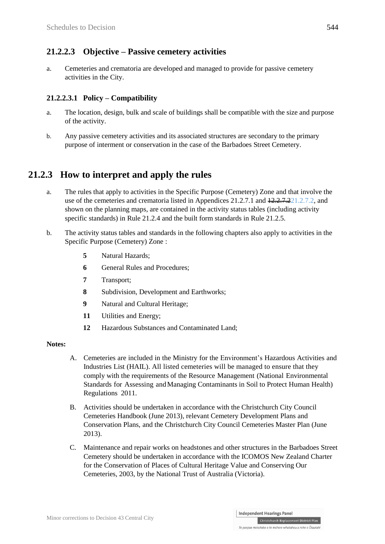### **21.2.2.3 Objective – Passive cemetery activities**

a. Cemeteries and crematoria are developed and managed to provide for passive cemetery activities in the City.

### **21.2.2.3.1 Policy – Compatibility**

- a. The location, design, bulk and scale of buildings shall be compatible with the size and purpose of the activity.
- b. Any passive cemetery activities and its associated structures are secondary to the primary purpose of interment or conservation in the case of the Barbadoes Street Cemetery.

## **21.2.3 How to interpret and apply the rules**

- a. The rules that apply to activities in the Specific Purpose (Cemetery) Zone and that involve the use of the cemeteries and crematoria listed in Appendices 21.2.7.1 and  $12.27.221.2.7.2$ , and shown on the planning maps, are contained in the activity status tables (including activity specific standards) in Rule 21.2.4 and the built form standards in Rule 21.2.5.
- b. The activity status tables and standards in the following chapters also apply to activities in the Specific Purpose (Cemetery) Zone :
	- **5** Natural Hazards;
	- **6** General Rules and Procedures;
	- **7** Transport;
	- **8** Subdivision, Development and Earthworks;
	- **9** Natural and Cultural Heritage;
	- **11** Utilities and Energy;
	- **12** Hazardous Substances and Contaminated Land;

#### **Notes:**

- A. Cemeteries are included in the Ministry for the Environment's Hazardous Activities and Industries List (HAIL). All listed cemeteries will be managed to ensure that they comply with the requirements of the Resource Management (National Environmental Standards for Assessing andManaging Contaminants in Soil to Protect Human Health) Regulations 2011.
- B. Activities should be undertaken in accordance with the Christchurch City Council Cemeteries Handbook (June 2013), relevant Cemetery Development Plans and Conservation Plans, and the Christchurch City Council Cemeteries Master Plan (June 2013).
- C. Maintenance and repair works on headstones and other structures in the Barbadoes Street Cemetery should be undertaken in accordance with the ICOMOS New Zealand Charter for the Conservation of Places of Cultural Heritage Value and Conserving Our Cemeteries, 2003, by the National Trust of Australia (Victoria).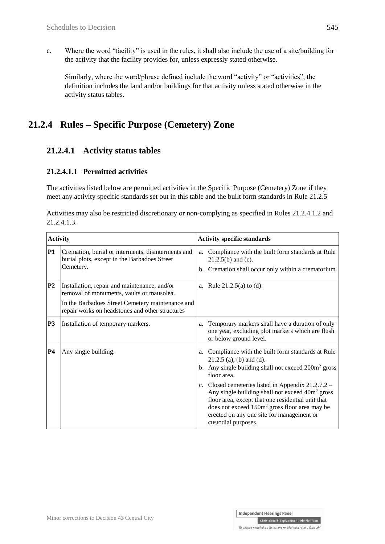c. Where the word "facility" is used in the rules, it shall also include the use of a site/building for the activity that the facility provides for, unless expressly stated otherwise.

Similarly, where the word/phrase defined include the word "activity" or "activities", the definition includes the land and/or buildings for that activity unless stated otherwise in the activity status tables.

## **21.2.4 Rules – Specific Purpose (Cemetery) Zone**

## **21.2.4.1 Activity status tables**

#### **21.2.4.1.1 Permitted activities**

The activities listed below are permitted activities in the Specific Purpose (Cemetery) Zone if they meet any activity specific standards set out in this table and the built form standards in Rule 21.2.5

|             |  | Activities may also be restricted discretionary or non-complying as specified in Rules 21.2.4.1.2 and |  |  |
|-------------|--|-------------------------------------------------------------------------------------------------------|--|--|
| 21.2.4.1.3. |  |                                                                                                       |  |  |

| <b>Activity</b> |                                                                                                                                                                                                  | <b>Activity specific standards</b> |                                                                                                                                                                                                                                                                                                                                               |  |
|-----------------|--------------------------------------------------------------------------------------------------------------------------------------------------------------------------------------------------|------------------------------------|-----------------------------------------------------------------------------------------------------------------------------------------------------------------------------------------------------------------------------------------------------------------------------------------------------------------------------------------------|--|
| <b>P1</b>       | Cremation, burial or interments, disinterments and<br>burial plots, except in the Barbadoes Street<br>Cemetery.                                                                                  |                                    | a. Compliance with the built form standards at Rule<br>$21.2.5(b)$ and (c).<br>b. Cremation shall occur only within a crematorium.                                                                                                                                                                                                            |  |
| P2              | Installation, repair and maintenance, and/or<br>removal of monuments, vaults or mausolea.<br>In the Barbadoes Street Cemetery maintenance and<br>repair works on headstones and other structures |                                    | a. Rule $21.2.5(a)$ to (d).                                                                                                                                                                                                                                                                                                                   |  |
| P <sub>3</sub>  | Installation of temporary markers.                                                                                                                                                               | a.                                 | Temporary markers shall have a duration of only<br>one year, excluding plot markers which are flush<br>or below ground level.                                                                                                                                                                                                                 |  |
| <b>P4</b>       | Any single building.                                                                                                                                                                             |                                    | a. Compliance with the built form standards at Rule<br>$21.2.5$ (a), (b) and (d).<br>b. Any single building shall not exceed 200m <sup>2</sup> gross<br>floor area.<br>c. Closed cemeteries listed in Appendix 21.2.7.2 –<br>Any single building shall not exceed 40m <sup>2</sup> gross<br>floor area, except that one residential unit that |  |
|                 |                                                                                                                                                                                                  |                                    | does not exceed 150m <sup>2</sup> gross floor area may be<br>erected on any one site for management or<br>custodial purposes.                                                                                                                                                                                                                 |  |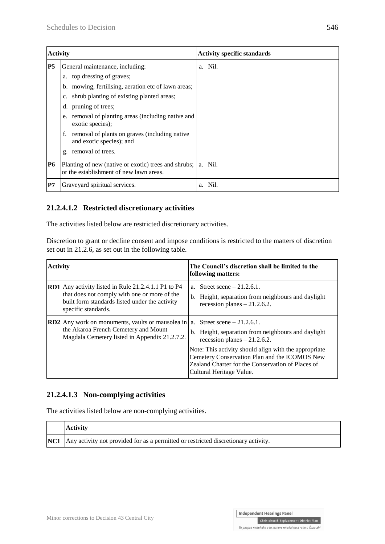| <b>Activity</b> |                                                                                                                                                                                                                                                                                                                                                           | <b>Activity specific standards</b> |
|-----------------|-----------------------------------------------------------------------------------------------------------------------------------------------------------------------------------------------------------------------------------------------------------------------------------------------------------------------------------------------------------|------------------------------------|
| P5              | General maintenance, including:<br>a. top dressing of graves;<br>b. mowing, fertilising, aeration etc of lawn areas;<br>c. shrub planting of existing planted areas;<br>pruning of trees;<br>d.<br>removal of planting areas (including native and<br>e.<br>exotic species);<br>removal of plants on graves (including native<br>and exotic species); and | a. Nil.                            |
| P6              | removal of trees.<br>$\mathfrak{g}$ .<br>Planting of new (native or exotic) trees and shrubs; a. Nil.                                                                                                                                                                                                                                                     |                                    |
|                 | or the establishment of new lawn areas.                                                                                                                                                                                                                                                                                                                   |                                    |
| P7              | Graveyard spiritual services.                                                                                                                                                                                                                                                                                                                             | Nil.<br>a.                         |

### **21.2.4.1.2 Restricted discretionary activities**

The activities listed below are restricted discretionary activities.

Discretion to grant or decline consent and impose conditions is restricted to the matters of discretion set out in 21.2.6, as set out in the following table.

| <b>Activity</b> |                                                                                                                                                                                      | The Council's discretion shall be limited to the<br>following matters:                                                                                                                                                                                                          |  |  |
|-----------------|--------------------------------------------------------------------------------------------------------------------------------------------------------------------------------------|---------------------------------------------------------------------------------------------------------------------------------------------------------------------------------------------------------------------------------------------------------------------------------|--|--|
|                 | <b>RD1</b> Any activity listed in Rule 21.2.4.1.1 P1 to P4<br>that does not comply with one or more of the<br>built form standards listed under the activity<br>specific standards.  | a. Street scene $-21.2.6.1$ .<br>b. Height, separation from neighbours and daylight<br>recession planes $-21.2.6.2$ .                                                                                                                                                           |  |  |
|                 | <b>RD2</b> Any work on monuments, vaults or mausolea in $\vert$ a. Street scene – 21.2.6.1.<br>the Akaroa French Cemetery and Mount<br>Magdala Cemetery listed in Appendix 21.2.7.2. | b. Height, separation from neighbours and daylight<br>recession planes $-21.2.6.2$ .<br>Note: This activity should align with the appropriate<br>Cemetery Conservation Plan and the ICOMOS New<br>Zealand Charter for the Conservation of Places of<br>Cultural Heritage Value. |  |  |

#### **21.2.4.1.3 Non-complying activities**

The activities listed below are non-complying activities.

| <b>Activity</b>                                                                        |
|----------------------------------------------------------------------------------------|
| NC1 Any activity not provided for as a permitted or restricted discretionary activity. |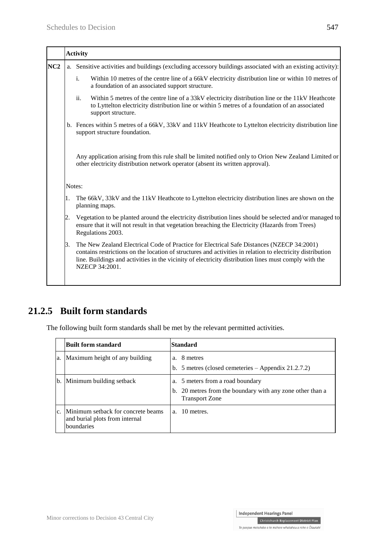|                 |    | <b>Activity</b>                                                                                                                                                                                                                                                                                                                    |
|-----------------|----|------------------------------------------------------------------------------------------------------------------------------------------------------------------------------------------------------------------------------------------------------------------------------------------------------------------------------------|
| NC <sub>2</sub> |    | a. Sensitive activities and buildings (excluding accessory buildings associated with an existing activity):                                                                                                                                                                                                                        |
|                 |    | $\mathbf{i}$ .<br>Within 10 metres of the centre line of a 66kV electricity distribution line or within 10 metres of<br>a foundation of an associated support structure.                                                                                                                                                           |
|                 |    | ii.<br>Within 5 metres of the centre line of a 33kV electricity distribution line or the 11kV Heathcote<br>to Lyttelton electricity distribution line or within 5 metres of a foundation of an associated<br>support structure.                                                                                                    |
|                 |    | b. Fences within 5 metres of a 66kV, 33kV and 11kV Heathcote to Lyttelton electricity distribution line<br>support structure foundation.                                                                                                                                                                                           |
|                 |    | Any application arising from this rule shall be limited notified only to Orion New Zealand Limited or<br>other electricity distribution network operator (absent its written approval).                                                                                                                                            |
|                 |    | Notes:                                                                                                                                                                                                                                                                                                                             |
|                 | 1. | The 66kV, 33kV and the 11kV Heathcote to Lyttelton electricity distribution lines are shown on the<br>planning maps.                                                                                                                                                                                                               |
|                 | 2. | Vegetation to be planted around the electricity distribution lines should be selected and/or managed to<br>ensure that it will not result in that vegetation breaching the Electricity (Hazards from Trees)<br>Regulations 2003.                                                                                                   |
|                 | β. | The New Zealand Electrical Code of Practice for Electrical Safe Distances (NZECP 34:2001)<br>contains restrictions on the location of structures and activities in relation to electricity distribution<br>line. Buildings and activities in the vicinity of electricity distribution lines must comply with the<br>NZECP 34:2001. |
|                 |    |                                                                                                                                                                                                                                                                                                                                    |

## **21.2.5 Built form standards**

The following built form standards shall be met by the relevant permitted activities.

|                | Built form standard                                                                | Standard                                                                                                               |
|----------------|------------------------------------------------------------------------------------|------------------------------------------------------------------------------------------------------------------------|
| a.             | Maximum height of any building                                                     | a. 8 metres<br>b. 5 metres (closed cemeteries $-$ Appendix 21.2.7.2)                                                   |
| b.             | Minimum building setback                                                           | a. 5 meters from a road boundary<br>b. 20 metres from the boundary with any zone other than a<br><b>Transport Zone</b> |
| C <sub>1</sub> | Minimum setback for concrete beams<br>and burial plots from internal<br>boundaries | a. 10 metres.                                                                                                          |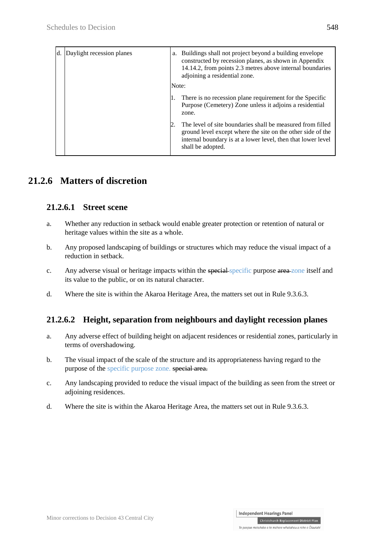| Daylight recession planes<br>d. | a. Buildings shall not project beyond a building envelope<br>constructed by recession planes, as shown in Appendix<br>14.14.2, from points 2.3 metres above internal boundaries<br>adjoining a residential zone. |
|---------------------------------|------------------------------------------------------------------------------------------------------------------------------------------------------------------------------------------------------------------|
|                                 | Note:                                                                                                                                                                                                            |
|                                 | There is no recession plane requirement for the Specific<br>Purpose (Cemetery) Zone unless it adjoins a residential<br>zone.                                                                                     |
|                                 | The level of site boundaries shall be measured from filled<br>ground level except where the site on the other side of the<br>internal boundary is at a lower level, then that lower level<br>shall be adopted.   |

## **21.2.6 Matters of discretion**

### **21.2.6.1 Street scene**

- a. Whether any reduction in setback would enable greater protection or retention of natural or heritage values within the site as a whole.
- b. Any proposed landscaping of buildings or structures which may reduce the visual impact of a reduction in setback.
- c. Any adverse visual or heritage impacts within the special-specific purpose area zone itself and its value to the public, or on its natural character.
- d. Where the site is within the Akaroa Heritage Area, the matters set out in Rule 9.3.6.3.

## **21.2.6.2 Height, separation from neighbours and daylight recession planes**

- a. Any adverse effect of building height on adjacent residences or residential zones, particularly in terms of overshadowing.
- b. The visual impact of the scale of the structure and its appropriateness having regard to the purpose of the specific purpose zone. special area.
- c. Any landscaping provided to reduce the visual impact of the building as seen from the street or adjoining residences.
- d. Where the site is within the Akaroa Heritage Area, the matters set out in Rule 9.3.6.3.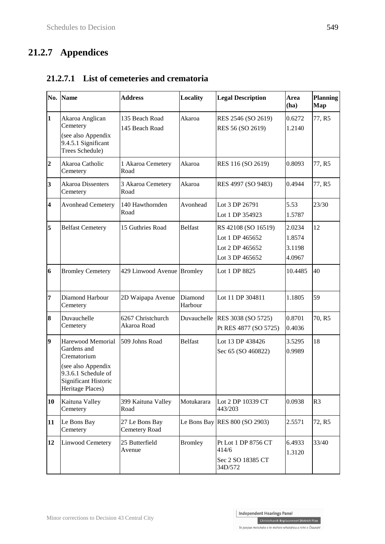# **21.2.7 Appendices**

| No.                     | <b>Name</b>                                                                                                                              | <b>Address</b>                   | Locality           | <b>Legal Description</b>                                                     | Area<br>(ha)                         | <b>Planning</b><br>Map |
|-------------------------|------------------------------------------------------------------------------------------------------------------------------------------|----------------------------------|--------------------|------------------------------------------------------------------------------|--------------------------------------|------------------------|
| $\mathbf{1}$            | Akaroa Anglican<br>Cemetery<br>(see also Appendix<br>9.4.5.1 Significant<br>Trees Schedule)                                              | 135 Beach Road<br>145 Beach Road | Akaroa             | RES 2546 (SO 2619)<br>RES 56 (SO 2619)                                       | 0.6272<br>1.2140                     | 77, R5                 |
| $\overline{2}$          | Akaroa Catholic<br>Cemetery                                                                                                              | 1 Akaroa Cemetery<br>Road        | Akaroa             | RES 116 (SO 2619)                                                            | 0.8093                               | 77, R5                 |
| 3                       | <b>Akaroa Dissenters</b><br>Cemetery                                                                                                     | 3 Akaroa Cemetery<br>Road        | Akaroa             | RES 4997 (SO 9483)                                                           | 0.4944                               | 77, R5                 |
| $\overline{\mathbf{4}}$ | <b>Avonhead Cemetery</b>                                                                                                                 | 140 Hawthornden<br>Road          | Avonhead           | Lot 3 DP 26791<br>Lot 1 DP 354923                                            | 5.53<br>1.5787                       | 23/30                  |
| 5                       | <b>Belfast Cemetery</b>                                                                                                                  | 15 Guthries Road                 | <b>Belfast</b>     | RS 42108 (SO 16519)<br>Lot 1 DP 465652<br>Lot 2 DP 465652<br>Lot 3 DP 465652 | 2.0234<br>1.8574<br>3.1198<br>4.0967 | 12                     |
| 6                       | <b>Bromley Cemetery</b>                                                                                                                  | 429 Linwood Avenue Bromley       |                    | Lot 1 DP 8825                                                                | 10.4485                              | 40                     |
| 7                       | Diamond Harbour<br>Cemetery                                                                                                              | 2D Waipapa Avenue                | Diamond<br>Harbour | Lot 11 DP 304811                                                             | 1.1805                               | 59                     |
| 8                       | Duvauchelle<br>Cemetery                                                                                                                  | 6267 Christchurch<br>Akaroa Road |                    | Duvauchelle RES 3038 (SO 5725)<br>Pt RES 4877 (SO 5725)                      | 0.8701<br>0.4036                     | 70, R5                 |
| 9                       | Harewood Memorial<br>Gardens and<br>Crematorium<br>(see also Appendix<br>9.3.6.1 Schedule of<br>Significant Historic<br>Heritage Places) | 509 Johns Road                   | <b>Belfast</b>     | Lot 13 DP 438426<br>Sec 65 (SO 460822)                                       | 3.5295<br>0.9989                     | 18                     |
| 10                      | Kaituna Valley<br>Cemetery                                                                                                               | 399 Kaituna Valley<br>Road       | Motukarara         | Lot 2 DP 10339 CT<br>443/203                                                 | 0.0938                               | R <sub>3</sub>         |
| 11                      | Le Bons Bay<br>Cemetery                                                                                                                  | 27 Le Bons Bay<br>Cemetery Road  |                    | Le Bons Bay RES 800 (SO 2903)                                                | 2.5571                               | 72, R5                 |
| 12                      | <b>Linwood Cemetery</b>                                                                                                                  | 25 Butterfield<br>Avenue         | <b>Bromley</b>     | Pt Lot 1 DP 8756 CT<br>414/6<br>Sec 2 SO 18385 CT<br>34D/572                 | 6.4933<br>1.3120                     | 33/40                  |

### **21.2.7.1 List of cemeteries and crematoria**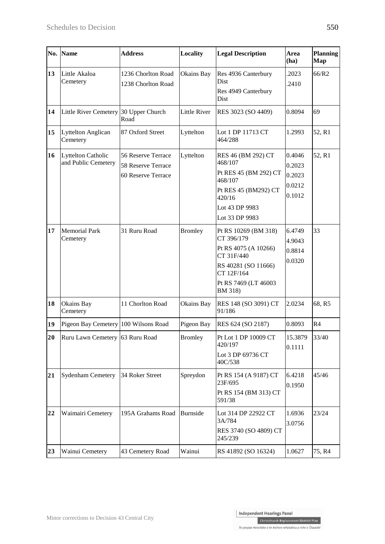| No. | Name                                             | <b>Address</b>                                                 | Locality       | <b>Legal Description</b>                                                                                                                         | Area<br>(ha)                                   | <b>Planning</b><br>Map |
|-----|--------------------------------------------------|----------------------------------------------------------------|----------------|--------------------------------------------------------------------------------------------------------------------------------------------------|------------------------------------------------|------------------------|
| 13  | Little Akaloa<br>Cemetery                        | 1236 Chorlton Road<br>1238 Chorlton Road                       | Okains Bay     | Res 4936 Canterbury<br>Dist<br>Res 4949 Canterbury<br>Dist                                                                                       | .2023<br>.2410                                 | 66/R2                  |
| 14  | <b>Little River Cemetery</b>                     | 30 Upper Church<br>Road                                        | Little River   | RES 3023 (SO 4409)                                                                                                                               | 0.8094                                         | 69                     |
| 15  | <b>Lyttelton Anglican</b><br>Cemetery            | 87 Oxford Street                                               | Lyttelton      | Lot 1 DP 11713 CT<br>464/288                                                                                                                     | 1.2993                                         | 52, R1                 |
| 16  | <b>Lyttelton Catholic</b><br>and Public Cemetery | 56 Reserve Terrace<br>58 Reserve Terrace<br>60 Reserve Terrace | Lyttelton      | RES 46 (BM 292) CT<br>468/107<br>Pt RES 45 (BM 292) CT<br>468/107<br>Pt RES 45 (BM292) CT<br>420/16<br>Lot 43 DP 9983<br>Lot 33 DP 9983          | 0.4046<br>0.2023<br>0.2023<br>0.0212<br>0.1012 | 52, R1                 |
| 17  | <b>Memorial Park</b><br>Cemetery                 | 31 Ruru Road                                                   | <b>Bromley</b> | Pt RS 10269 (BM 318)<br>CT 396/179<br>Pt RS 4075 (A 10266)<br>CT 31F/440<br>RS 40281 (SO 11666)<br>CT 12F/164<br>Pt RS 7469 (LT 46003<br>BM 318) | 6.4749<br>4.9043<br>0.8814<br>0.0320           | 33                     |
| 18  | Okains Bay<br>Cemetery                           | 11 Chorlton Road                                               | Okains Bay     | RES 148 (SO 3091) CT<br>91/186                                                                                                                   | 2.0234                                         | 68, R5                 |
| 19  | Pigeon Bay Cemetery                              | 100 Wilsons Road                                               | Pigeon Bay     | RES 624 (SO 2187)                                                                                                                                | 0.8093                                         | R4                     |
| 20  | Ruru Lawn Cemetery 63 Ruru Road                  |                                                                | <b>Bromley</b> | Pt Lot 1 DP 10009 CT<br>420/197<br>Lot 3 DP 69736 CT<br>40C/538                                                                                  | 15.3879<br>0.1111                              | 33/40                  |
| 21  | <b>Sydenham Cemetery</b>                         | 34 Roker Street                                                | Spreydon       | Pt RS 154 (A 9187) CT<br>23F/695<br>Pt RS 154 (BM 313) CT<br>591/38                                                                              | 6.4218<br>0.1950                               | 45/46                  |
| 22  | Waimairi Cemetery                                | 195A Grahams Road                                              | Burnside       | Lot 314 DP 22922 CT<br>3A/784<br>RES 3740 (SO 4809) CT<br>245/239                                                                                | 1.6936<br>3.0756                               | 23/24                  |
| 23  | Wainui Cemetery                                  | 43 Cemetery Road                                               | Wainui         | RS 41892 (SO 16324)                                                                                                                              | 1.0627                                         | 75, R4                 |